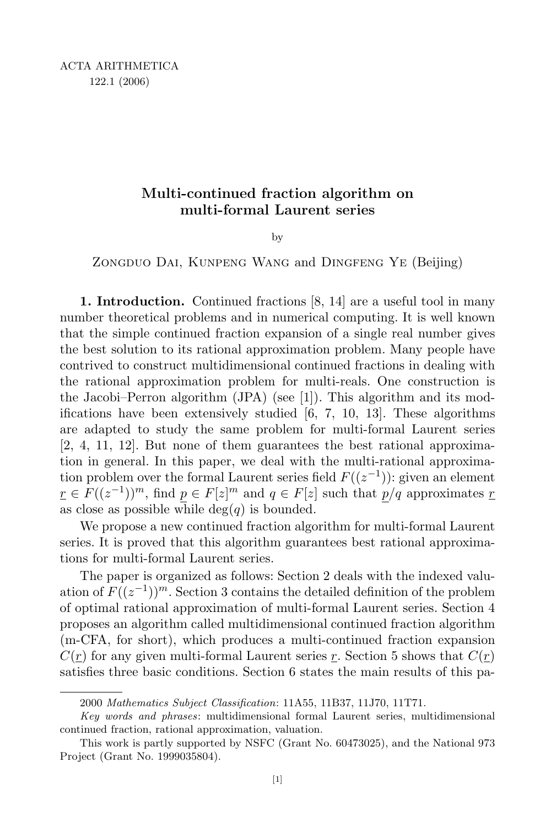# Multi-continued fraction algorithm on multi-formal Laurent series

by

ZONGDUO DAI, KUNPENG WANG and DINGFENG YE (Beijing)

1. Introduction. Continued fractions [8, 14] are a useful tool in many number theoretical problems and in numerical computing. It is well known that the simple continued fraction expansion of a single real number gives the best solution to its rational approximation problem. Many people have contrived to construct multidimensional continued fractions in dealing with the rational approximation problem for multi-reals. One construction is the Jacobi–Perron algorithm (JPA) (see [1]). This algorithm and its modifications have been extensively studied [6, 7, 10, 13]. These algorithms are adapted to study the same problem for multi-formal Laurent series [2, 4, 11, 12]. But none of them guarantees the best rational approximation in general. In this paper, we deal with the multi-rational approximation problem over the formal Laurent series field  $F((z^{-1}))$ : given an element  $r \in F((z^{-1}))^m$ , find  $p \in F[z]^m$  and  $q \in F[z]$  such that  $p/q$  approximates r as close as possible while  $deg(q)$  is bounded.

We propose a new continued fraction algorithm for multi-formal Laurent series. It is proved that this algorithm guarantees best rational approximations for multi-formal Laurent series.

The paper is organized as follows: Section 2 deals with the indexed valuation of  $F((z^{-1}))^m$ . Section 3 contains the detailed definition of the problem of optimal rational approximation of multi-formal Laurent series. Section 4 proposes an algorithm called multidimensional continued fraction algorithm (m-CFA, for short), which produces a multi-continued fraction expansion  $C(\underline{r})$  for any given multi-formal Laurent series  $\underline{r}$ . Section 5 shows that  $C(\underline{r})$ satisfies three basic conditions. Section 6 states the main results of this pa-

<sup>2000</sup> Mathematics Subject Classification: 11A55, 11B37, 11J70, 11T71.

Key words and phrases: multidimensional formal Laurent series, multidimensional continued fraction, rational approximation, valuation.

This work is partly supported by NSFC (Grant No. 60473025), and the National 973 Project (Grant No. 1999035804).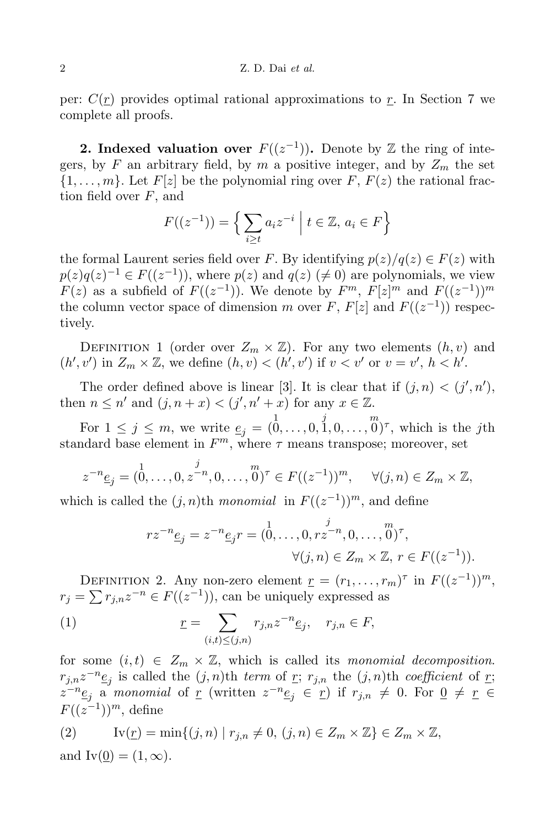per:  $C(r)$  provides optimal rational approximations to r. In Section 7 we complete all proofs.

**2.** Indexed valuation over  $F((z^{-1}))$ . Denote by Z the ring of integers, by F an arbitrary field, by m a positive integer, and by  $Z_m$  the set  $\{1,\ldots,m\}$ . Let  $F[z]$  be the polynomial ring over F,  $F(z)$  the rational fraction field over F, and

$$
F((z^{-1})) = \left\{ \sum_{i \ge t} a_i z^{-i} \mid t \in \mathbb{Z}, a_i \in F \right\}
$$

the formal Laurent series field over F. By identifying  $p(z)/q(z) \in F(z)$  with  $p(z)q(z)^{-1} \in F((z^{-1}))$ , where  $p(z)$  and  $q(z)$   $(\neq 0)$  are polynomials, we view  $F(z)$  as a subfield of  $F((z^{-1}))$ . We denote by  $F^m$ ,  $F[z]^m$  and  $F((z^{-1}))^m$ the column vector space of dimension m over F,  $F[z]$  and  $F((z^{-1}))$  respectively.

DEFINITION 1 (order over  $Z_m \times \mathbb{Z}$ ). For any two elements  $(h, v)$  and  $(h', v')$  in  $Z_m \times \mathbb{Z}$ , we define  $(h, v) < (h', v')$  if  $v < v'$  or  $v = v'$ ,  $h < h'$ .

The order defined above is linear [3]. It is clear that if  $(j, n) < (j', n')$ , then  $n \leq n'$  and  $(j, n + x) < (j', n' + x)$  for any  $x \in \mathbb{Z}$ .

For  $1 \leq j \leq m$ , we write  $\underline{e}_j = (\stackrel{1}{0}, \ldots, 0, \stackrel{j}{1}, 0, \ldots, \stackrel{m}{0})^{\tau}$ , which is the jth standard base element in  $F^m$ , where  $\tau$  means transpose; moreover, set

$$
z^{-n} \underline{e}_j = (0, \dots, 0, z^{-n}, 0, \dots, 0)^{\tau} \in F((z^{-1}))^m, \quad \forall (j, n) \in Z_m \times \mathbb{Z},
$$

which is called the  $(j, n)$ <sup>th</sup> monomial in  $F((z^{-1}))^m$ , and define

$$
rz^{-n} \underline{e}_j = z^{-n} \underline{e}_j r = (\stackrel{1}{0}, \dots, 0, rz^{-n}, 0, \dots, \stackrel{m}{0})^{\tau},
$$
  

$$
\forall (j, n) \in Z_m \times \mathbb{Z}, r \in F((z^{-1})).
$$

DEFINITION 2. Any non-zero element  $\underline{r} = (r_1, \ldots, r_m)^{\tau}$  in  $F((z^{-1}))^m$ ,  $r_j = \sum r_{j,n} z^{-n} \in F((z^{-1})),$  can be uniquely expressed as

(1) 
$$
\underline{r} = \sum_{(i,t) \le (j,n)} r_{j,n} z^{-n} \underline{e}_j, \quad r_{j,n} \in F,
$$

for some  $(i, t) \in Z_m \times \mathbb{Z}$ , which is called its monomial decomposition.  $r_{j,n}z^{-n}\underline{e}_j$  is called the  $(j, n)$ th term of <u>r</u>;  $r_{j,n}$  the  $(j, n)$ th coefficient of <u>r</u>;  $z^{-n} \underline{e}_j$  a monomial of <u>r</u> (written  $z^{-n} \underline{e}_j \in \underline{r}$ ) if  $r_{j,n} \neq 0$ . For  $\underline{0} \neq \underline{r} \in$  $F((z^{-1}))^m$ , define

(2) 
$$
\text{Iv}(\underline{r}) = \min\{(j, n) \mid r_{j,n} \neq 0, (j, n) \in Z_m \times \mathbb{Z}\} \in Z_m \times \mathbb{Z},
$$
and 
$$
\text{Iv}(\underline{0}) = (1, \infty).
$$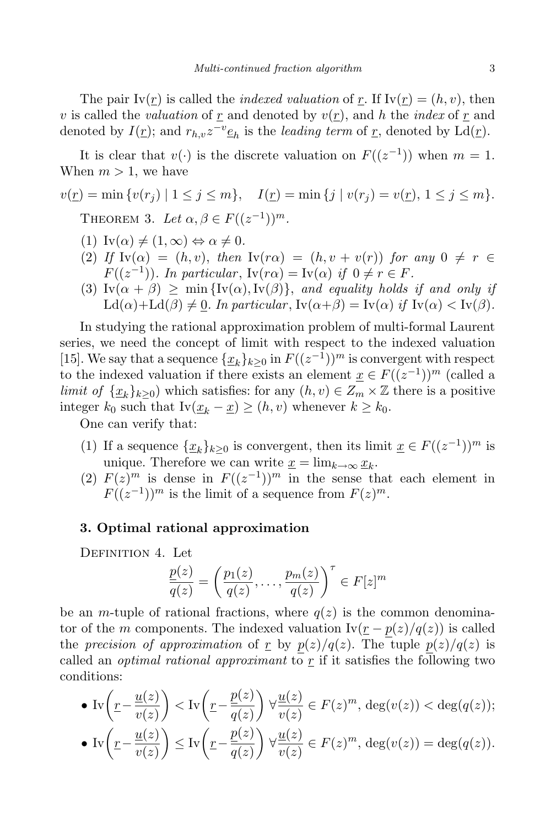The pair  $Iv(r)$  is called the *indexed valuation* of r. If  $Iv(r) = (h, v)$ , then v is called the valuation of r and denoted by  $v(r)$ , and h the index of r and denoted by  $I(\underline{r})$ ; and  $r_{h,v}z^{-v}\underline{e}_h$  is the *leading term* of  $\underline{r}$ , denoted by  $\text{Ld}(\underline{r})$ .

It is clear that  $v(\cdot)$  is the discrete valuation on  $F((z^{-1}))$  when  $m=1$ . When  $m > 1$ , we have

$$
v(\underline{r}) = \min \{ v(r_j) \mid 1 \le j \le m \}, \quad I(\underline{r}) = \min \{ j \mid v(r_j) = v(\underline{r}), 1 \le j \le m \}.
$$
  
THEOREM 3. Let  $\alpha, \beta \in F((z^{-1}))^m$ .

- (1)  $\text{Iv}(\alpha) \neq (1, \infty) \Leftrightarrow \alpha \neq 0.$
- (2) If  $Iv(\alpha) = (h, v)$ , then  $Iv(r\alpha) = (h, v + v(r))$  for any  $0 \neq r \in$  $F((z^{-1}))$ . In particular,  $Iv(r\alpha) = Iv(\alpha)$  if  $0 \neq r \in F$ .
- (3)  $Iv(\alpha + \beta) \ge \min\{Iv(\alpha), Iv(\beta)\}\$ , and equality holds if and only if  $\mathrm{Ld}(\alpha)+\mathrm{Ld}(\beta)\neq 0$ . In particular,  $\mathrm{Iv}(\alpha+\beta)=\mathrm{Iv}(\alpha)$  if  $\mathrm{Iv}(\alpha)<\mathrm{Iv}(\beta)$ .

In studying the rational approximation problem of multi-formal Laurent series, we need the concept of limit with respect to the indexed valuation [15]. We say that a sequence  $\{\underline{x}_k\}_{k\geq 0}$  in  $F((z^{-1}))^m$  is convergent with respect to the indexed valuation if there exists an element  $\underline{x} \in F((z^{-1}))^m$  (called a limit of  $\{x_k\}_{k>0}$ ) which satisfies: for any  $(h, v) \in Z_m \times \mathbb{Z}$  there is a positive integer  $k_0$  such that  $Iv(\underline{x}_k - \underline{x}) \geq (h, v)$  whenever  $k \geq k_0$ .

One can verify that:

- (1) If a sequence  $\{\underline{x}_k\}_{k\geq 0}$  is convergent, then its limit  $\underline{x} \in F((z^{-1}))^m$  is unique. Therefore we can write  $\underline{x} = \lim_{k \to \infty} \underline{x}_k$ .
- (2)  $F(z)^m$  is dense in  $F((z^{-1}))^m$  in the sense that each element in  $F((z^{-1}))^m$  is the limit of a sequence from  $F(z)^m$ .

## 3. Optimal rational approximation

DEFINITION 4. Let

$$
\frac{p(z)}{q(z)} = \left(\frac{p_1(z)}{q(z)}, \dots, \frac{p_m(z)}{q(z)}\right)^{\tau} \in F[z]^m
$$

be an m-tuple of rational fractions, where  $q(z)$  is the common denominator of the m components. The indexed valuation  $Iv(r - p(z)/q(z))$  is called the precision of approximation of r by  $p(z)/q(z)$ . The tuple  $p(z)/q(z)$  is called an *optimal rational approximant* to  $\underline{r}$  if it satisfies the following two conditions:

• 
$$
\text{Iv}\left(\underline{r} - \frac{\underline{u}(z)}{v(z)}\right) < \text{Iv}\left(\underline{r} - \frac{\underline{p}(z)}{\overline{q}(z)}\right) \forall \frac{\underline{u}(z)}{v(z)} \in F(z)^m, \deg(v(z)) < \deg(q(z));
$$
\n
$$
\text{Iv}\left(\frac{\underline{u}(z)}{\underline{v}(z)}\right) < \text{Iv}\left(\frac{\underline{p}(z)}{\underline{v}(z)}\right) \forall \frac{\underline{u}(z)}{\underline{v}(z)} \in F(z)^m, \deg(v(z)) \leq \deg(q(z));
$$

• 
$$
\text{Iv}\left(\underline{r} - \frac{\underline{u}(z)}{\underline{v}(z)}\right) \le \text{Iv}\left(\underline{r} - \frac{\underline{p}(z)}{\underline{q}(z)}\right) \forall \frac{\underline{u}(z)}{\underline{v}(z)} \in F(z)^m, \text{ deg}(v(z)) = \text{deg}(q(z)).
$$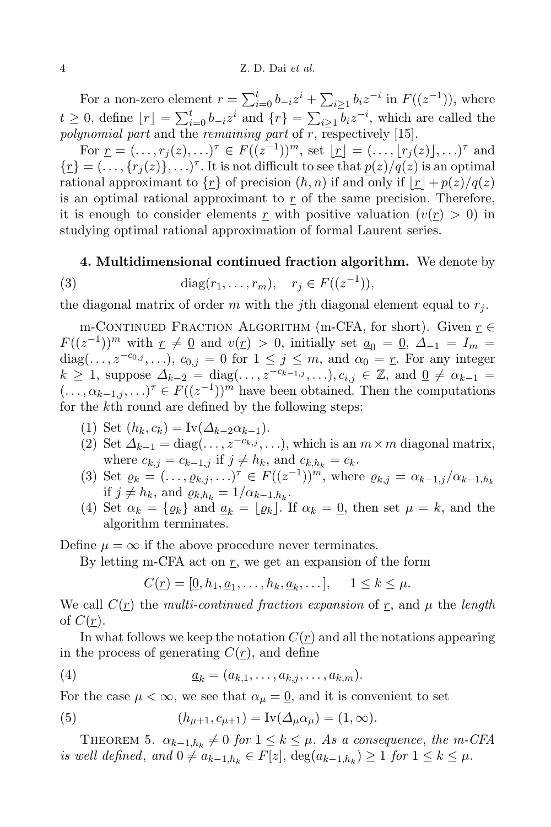For a non-zero element  $r = \sum_{i=0}^{t} b_{-i} z^{i} + \sum_{i \geq 1} b_{i} z^{-i}$  in  $F((z^{-1}))$ , where  $t \geq 0$ , define  $\lfloor r \rfloor = \sum_{i=0}^{t} b_{-i} z^i$  and  $\{r\} = \sum_{i \geq 1} b_i z^{-i}$ , which are called the polynomial part and the remaining part of  $r$ , respectively [15].

For  $\underline{r} = (\ldots, r_j(z), \ldots)^{\tau} \in F((z^{-1}))^m$ , set  $\underline{r} = (\ldots, \lfloor r_j(z) \rfloor, \ldots)^{\tau}$  and  $\{\underline{r}\} = (\ldots, \{r_j(z)\}, \ldots)^\tau$ . It is not difficult to see that  $\underline{p}(z)/q(z)$  is an optimal rational approximant to  $\{\underline{r}\}\$  of precision  $(h, n)$  if and only if  $|\underline{r}| + p(z)/q(z)$ is an optimal rational approximant to  $r$  of the same precision. Therefore, it is enough to consider elements r with positive valuation  $(v(r) > 0)$  in studying optimal rational approximation of formal Laurent series.

#### 4. Multidimensional continued fraction algorithm. We denote by

(3) 
$$
\text{diag}(r_1, ..., r_m), \quad r_j \in F((z^{-1})),
$$

the diagonal matrix of order m with the jth diagonal element equal to  $r_j$ .

m-CONTINUED FRACTION ALGORITHM (m-CFA, for short). Given  $r \in$  $F((z^{-1}))^m$  with  $\underline{r} \neq \underline{0}$  and  $v(\underline{r}) > 0$ , initially set  $\underline{a}_0 = \underline{0}$ ,  $\Delta_{-1} = I_m =$ diag(...,  $z^{-c_{0,j}}, \ldots$ ),  $c_{0,j} = 0$  for  $1 \leq j \leq m$ , and  $\alpha_0 = r$ . For any integer  $k \geq 1$ , suppose  $\Delta_{k-2} = \text{diag}(\ldots, z^{-c_{k-1,j}}, \ldots), c_{i,j} \in \mathbb{Z}$ , and  $\underline{0} \neq \alpha_{k-1} =$  $(\ldots, \alpha_{k-1,j}, \ldots)^{\tau} \in F((z^{-1}))^m$  have been obtained. Then the computations for the kth round are defined by the following steps:

- (1) Set  $(h_k, c_k) = \text{Iv}(\Delta_{k-2} \alpha_{k-1}).$
- (2) Set  $\Delta_{k-1} = \text{diag}(\ldots, z^{-c_{k,j}}, \ldots)$ , which is an  $m \times m$  diagonal matrix, where  $c_{k,j} = c_{k-1,j}$  if  $j \neq h_k$ , and  $c_{k,h_k} = c_k$ .
- (3) Set  $\varrho_k = (\ldots, \varrho_{k,j}, \ldots)^{\tau} \in F((z^{-1}))^m$ , where  $\varrho_{k,j} = \alpha_{k-1,j}/\alpha_{k-1,h_k}$ if  $j \neq h_k$ , and  $\varrho_{k,h_k} = 1/\alpha_{k-1,h_k}$ .
- (4) Set  $\alpha_k = {\varrho_k}$  and  $\alpha_k = {\varrho_k}$ . If  $\alpha_k = 0$ , then set  $\mu = k$ , and the algorithm terminates.

Define  $\mu = \infty$  if the above procedure never terminates.

By letting m-CFA act on  $r$ , we get an expansion of the form

$$
C(\underline{r}) = [\underline{0}, h_1, \underline{a}_1, \dots, h_k, \underline{a}_k, \dots], \quad 1 \leq k \leq \mu.
$$

We call  $C(\underline{r})$  the multi-continued fraction expansion of  $\underline{r}$ , and  $\mu$  the length of  $C(\underline{r})$ .

In what follows we keep the notation  $C(r)$  and all the notations appearing in the process of generating  $C(\underline{r})$ , and define

$$
(4) \qquad \qquad \underline{a}_k = (a_{k,1},\ldots,a_{k,j},\ldots,a_{k,m}).
$$

For the case  $\mu < \infty$ , we see that  $\alpha_{\mu} = 0$ , and it is convenient to set

(5) 
$$
(h_{\mu+1}, c_{\mu+1}) = \text{Iv}(\Delta_{\mu}\alpha_{\mu}) = (1, \infty).
$$

THEOREM 5.  $\alpha_{k-1,h_k} \neq 0$  for  $1 \leq k \leq \mu$ . As a consequence, the m-CFA is well defined, and  $0 \neq a_{k-1,h_k} \in F[z]$ ,  $\deg(a_{k-1,h_k}) \geq 1$  for  $1 \leq k \leq \mu$ .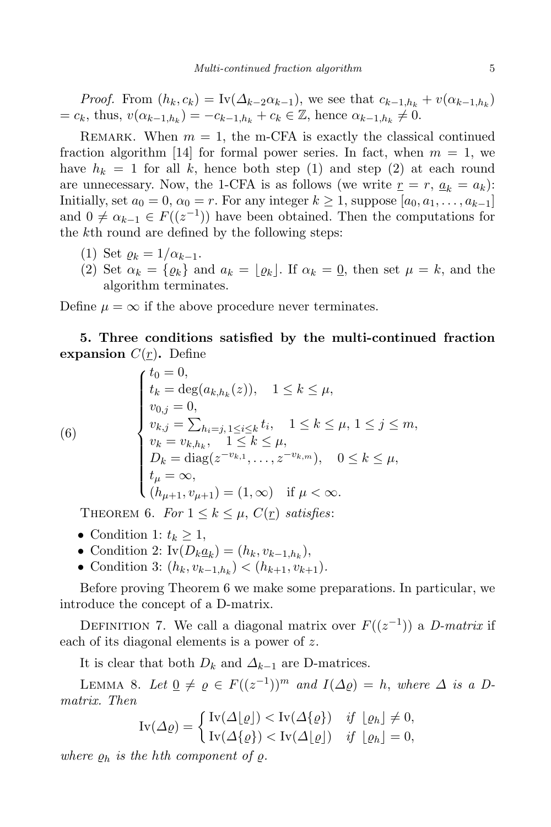*Proof.* From  $(h_k, c_k) = \text{Iv}(\Delta_{k-2}\alpha_{k-1})$ , we see that  $c_{k-1,h_k} + v(\alpha_{k-1,h_k})$  $= c_k$ , thus,  $v(\alpha_{k-1,h_k}) = -c_{k-1,h_k} + c_k \in \mathbb{Z}$ , hence  $\alpha_{k-1,h_k} \neq 0$ .

REMARK. When  $m = 1$ , the m-CFA is exactly the classical continued fraction algorithm [14] for formal power series. In fact, when  $m = 1$ , we have  $h_k = 1$  for all k, hence both step (1) and step (2) at each round are unnecessary. Now, the 1-CFA is as follows (we write  $r = r, a_k = a_k$ ): Initially, set  $a_0 = 0$ ,  $\alpha_0 = r$ . For any integer  $k \ge 1$ , suppose  $[a_0, a_1, \ldots, a_{k-1}]$ and  $0 \neq \alpha_{k-1} \in F((z^{-1}))$  have been obtained. Then the computations for the kth round are defined by the following steps:

- (1) Set  $\rho_k = 1/\alpha_{k-1}$ .
- (2) Set  $\alpha_k = {\varrho_k}$  and  $a_k = {\varrho_k}$ . If  $\alpha_k = 0$ , then set  $\mu = k$ , and the algorithm terminates.

Define  $\mu = \infty$  if the above procedure never terminates.

5. Three conditions satisfied by the multi-continued fraction expansion  $C(r)$ . Define

(6)  
\n
$$
\begin{cases}\nt_0 = 0, \\
t_k = \deg(a_{k,h_k}(z)), \quad 1 \le k \le \mu, \\
v_{0,j} = 0, \\
v_{k,j} = \sum_{h_i=j, 1 \le i \le k} t_i, \quad 1 \le k \le \mu, 1 \le j \le m, \\
v_k = v_{k,h_k}, \quad 1 \le k \le \mu, \\
D_k = \text{diag}(z^{-v_{k,1}}, \dots, z^{-v_{k,m}}), \quad 0 \le k \le \mu, \\
t_\mu = \infty, \\
(h_{\mu+1}, v_{\mu+1}) = (1, \infty) \quad \text{if } \mu < \infty.\n\end{cases}
$$

THEOREM 6. For  $1 \leq k \leq \mu$ ,  $C(\underline{r})$  satisfies:

- Condition 1:  $t_k \geq 1$ ,
- Condition 2:  $\text{Iv}(D_k \underline{a}_k) = (h_k, v_{k-1,h_k}),$
- Condition 3:  $(h_k, v_{k-1,h_k}) < (h_{k+1}, v_{k+1}).$

Before proving Theorem 6 we make some preparations. In particular, we introduce the concept of a D-matrix.

DEFINITION 7. We call a diagonal matrix over  $F((z^{-1}))$  a *D-matrix* if each of its diagonal elements is a power of z.

It is clear that both  $D_k$  and  $\Delta_{k-1}$  are D-matrices.

LEMMA 8. Let  $\underline{0} \neq \varrho \in F((z^{-1}))^m$  and  $I(\Delta \varrho) = h$ , where  $\Delta$  is a Dmatrix. Then

$$
\text{Iv}(\Delta \varrho) = \begin{cases} \text{Iv}(\Delta \lfloor \varrho \rfloor) < \text{Iv}(\Delta \{\varrho\}) & \text{if } \lfloor \varrho_h \rfloor \neq 0, \\ \text{Iv}(\Delta \{\varrho\}) < \text{Iv}(\Delta \lfloor \varrho \rfloor) & \text{if } \lfloor \varrho_h \rfloor = 0, \end{cases}
$$

where  $\rho_h$  is the hth component of  $\rho$ .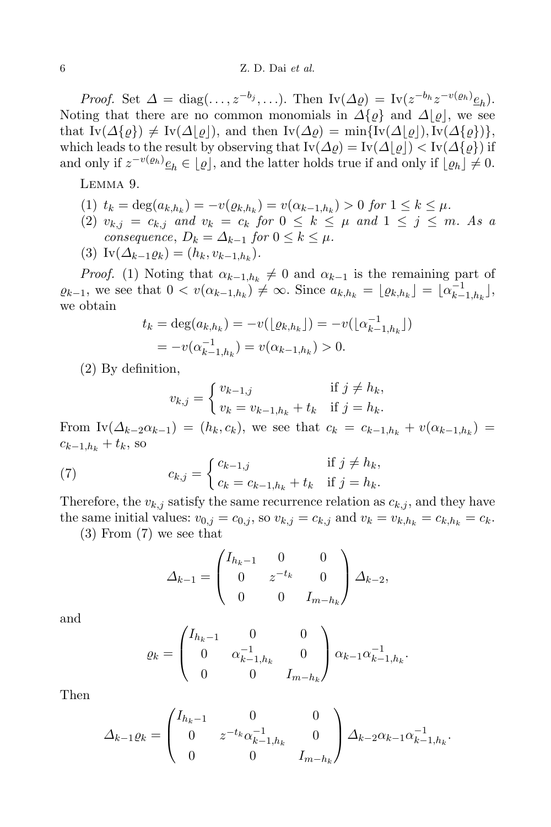*Proof.* Set  $\Delta = \text{diag}(\ldots, z^{-b_j}, \ldots)$ . Then  $\text{Iv}(\Delta \varrho) = \text{Iv}(z^{-b_h}z^{-v(\varrho_h)}\underline{e}_h)$ . Noting that there are no common monomials in  $\Delta\{\rho\}$  and  $\Delta|\rho|$ , we see that  $I_{\rm V}(\Delta\{\rho\}) \neq I_{\rm V}(\Delta|\rho|)$ , and then  $I_{\rm V}(\Delta\rho) = \min\{I_{\rm V}(\Delta|\rho|),I_{\rm V}(\Delta\{\rho\})\},$ which leads to the result by observing that  $Iv(\Delta \varrho) = Iv(\Delta |\varrho|) < Iv(\Delta \varrho)$  if and only if  $z^{-v(\varrho_h)}\underline{e}_h \in \lfloor \varrho \rfloor$ , and the latter holds true if and only if  $\lfloor \varrho_h \rfloor \neq 0$ .

Lemma 9.

- (1)  $t_k = \deg(a_{k,h_k}) = -v(\varrho_{k,h_k}) = v(\alpha_{k-1,h_k}) > 0$  for  $1 \leq k \leq \mu$ .
- (2)  $v_{k,j} = c_{k,j}$  and  $v_k = c_k$  for  $0 \leq k \leq \mu$  and  $1 \leq j \leq m$ . As a consequence,  $D_k = \Delta_{k-1}$  for  $0 \leq k \leq \mu$ .
- (3)  $\text{Iv}(\Delta_{k-1}\varrho_k) = (h_k, v_{k-1,h_k}).$

*Proof.* (1) Noting that  $\alpha_{k-1,h_k} \neq 0$  and  $\alpha_{k-1}$  is the remaining part of  $\varrho_{k-1}$ , we see that  $0 < v(\alpha_{k-1,h_k}) \neq \infty$ . Since  $a_{k,h_k} = \lfloor \varrho_{k,h_k} \rfloor = \lfloor \alpha_k^{-1} \rfloor$  $\left[\begin{matrix} -1 \\ k-1, h_k \end{matrix}\right],$ we obtain

$$
t_k = \deg(a_{k,h_k}) = -v(\lfloor \varrho_{k,h_k} \rfloor) = -v(\lfloor \alpha_{k-1,h_k}^{-1} \rfloor)
$$
  
=  $-v(\alpha_{k-1,h_k}^{-1}) = v(\alpha_{k-1,h_k}) > 0.$ 

(2) By definition,

$$
v_{k,j} = \begin{cases} v_{k-1,j} & \text{if } j \neq h_k, \\ v_k = v_{k-1,h_k} + t_k & \text{if } j = h_k. \end{cases}
$$

From  $\text{Iv}(\Delta_{k-2}\alpha_{k-1}) = (h_k, c_k)$ , we see that  $c_k = c_{k-1,h_k} + v(\alpha_{k-1,h_k}) =$  $c_{k-1,h_k} + t_k$ , so

(7) 
$$
c_{k,j} = \begin{cases} c_{k-1,j} & \text{if } j \neq h_k, \\ c_k = c_{k-1,h_k} + t_k & \text{if } j = h_k. \end{cases}
$$

Therefore, the  $v_{k,j}$  satisfy the same recurrence relation as  $c_{k,j}$ , and they have the same initial values:  $v_{0,j} = c_{0,j}$ , so  $v_{k,j} = c_{k,j}$  and  $v_k = v_{k,h_k} = c_{k,h_k} = c_k$ .

(3) From (7) we see that

$$
\Delta_{k-1} = \begin{pmatrix} I_{h_k-1} & 0 & 0 \\ 0 & z^{-t_k} & 0 \\ 0 & 0 & I_{m-h_k} \end{pmatrix} \Delta_{k-2},
$$

and

$$
\varrho_k = \begin{pmatrix} I_{h_k - 1} & 0 & 0 \\ 0 & \alpha_{k-1, h_k}^{-1} & 0 \\ 0 & 0 & I_{m - h_k} \end{pmatrix} \alpha_{k-1} \alpha_{k-1, h_k}^{-1}.
$$

Then

$$
\Delta_{k-1}\varrho_k = \begin{pmatrix} I_{h_k-1} & 0 & 0 \\ 0 & z^{-t_k}\alpha_{k-1,h_k}^{-1} & 0 \\ 0 & 0 & I_{m-h_k} \end{pmatrix} \Delta_{k-2}\alpha_{k-1}\alpha_{k-1,h_k}^{-1}.
$$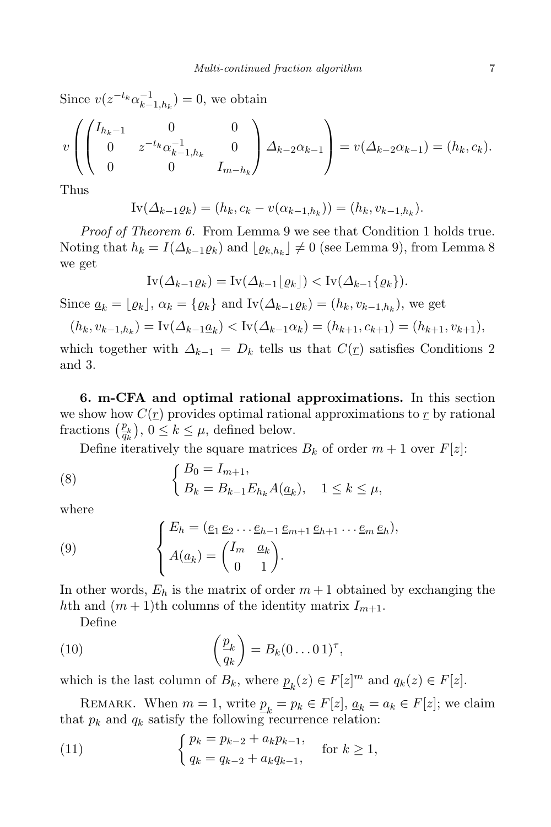Since  $v(z^{-t_k}\alpha_{k-1}^{-1})$  $\binom{-1}{k-1,h_k} = 0$ , we obtain

$$
v\left(\begin{pmatrix}I_{h_k-1} & 0 & 0 \ 0 & z^{-t_k}\alpha_{k-1,h_k}^{-1} & 0 \ 0 & 0 & I_{m-h_k}\end{pmatrix}\Delta_{k-2}\alpha_{k-1}\right) = v(\Delta_{k-2}\alpha_{k-1}) = (h_k, c_k).
$$

Thus

 $\text{IV}(\Delta_{k-1}\varrho_k) = (h_k, c_k - v(\alpha_{k-1,h_k})) = (h_k, v_{k-1,h_k}).$ 

Proof of Theorem 6. From Lemma 9 we see that Condition 1 holds true. Noting that  $h_k = I(\Delta_{k-1} \varrho_k)$  and  $\lfloor \varrho_{k,h_k} \rfloor \neq 0$  (see Lemma 9), from Lemma 8 we get

$$
\text{Iv}(\Delta_{k-1}\varrho_k) = \text{Iv}(\Delta_{k-1}\lfloor \varrho_k \rfloor) < \text{Iv}(\Delta_{k-1}\{\varrho_k\}).
$$

Since  $\underline{a}_k = \lfloor \varrho_k \rfloor$ ,  $\alpha_k = \{\varrho_k\}$  and  $\text{Iv}(\Delta_{k-1}\varrho_k) = (h_k, v_{k-1,h_k})$ , we get

$$
(h_k, v_{k-1,h_k}) = \text{Iv}(\Delta_{k-1}\underline{a}_k) < \text{Iv}(\Delta_{k-1}\alpha_k) = (h_{k+1}, c_{k+1}) = (h_{k+1}, v_{k+1}),
$$

which together with  $\Delta_{k-1} = D_k$  tells us that  $C(\underline{r})$  satisfies Conditions 2 and 3.

6. m-CFA and optimal rational approximations. In this section we show how  $C(\underline{r})$  provides optimal rational approximations to  $\underline{r}$  by rational fractions  $\left(\frac{p_k}{q_k}\right), 0 \leq k \leq \mu$ , defined below.

Define iteratively the square matrices  $B_k$  of order  $m + 1$  over  $F[z]$ :

(8) 
$$
\begin{cases} B_0 = I_{m+1}, \\ B_k = B_{k-1} E_{h_k} A(\underline{a}_k), \quad 1 \le k \le \mu, \end{cases}
$$

where

(9) 
$$
\begin{cases} E_h = (\underline{e}_1 \, \underline{e}_2 \, \dots \, \underline{e}_{h-1} \, \underline{e}_{m+1} \, \underline{e}_{h+1} \, \dots \, \underline{e}_m \, \underline{e}_h), \\ A(\underline{a}_k) = \begin{pmatrix} I_m & \underline{a}_k \\ 0 & 1 \end{pmatrix}. \end{cases}
$$

In other words,  $E_h$  is the matrix of order  $m+1$  obtained by exchanging the hth and  $(m+1)$ th columns of the identity matrix  $I_{m+1}$ .

Define

(10) 
$$
\left(\frac{p_k}{q_k}\right) = B_k(0...01)^{\tau},
$$

which is the last column of  $B_k$ , where  $\underline{p}_k(z) \in F[z]^m$  and  $q_k(z) \in F[z]$ .

REMARK. When  $m = 1$ , write  $\underline{p}_k = p_k \in F[z]$ ,  $\underline{a}_k = a_k \in F[z]$ ; we claim that  $p_k$  and  $q_k$  satisfy the following recurrence relation:

(11) 
$$
\begin{cases} p_k = p_{k-2} + a_k p_{k-1}, \\ q_k = q_{k-2} + a_k q_{k-1}, \end{cases} \text{ for } k \ge 1,
$$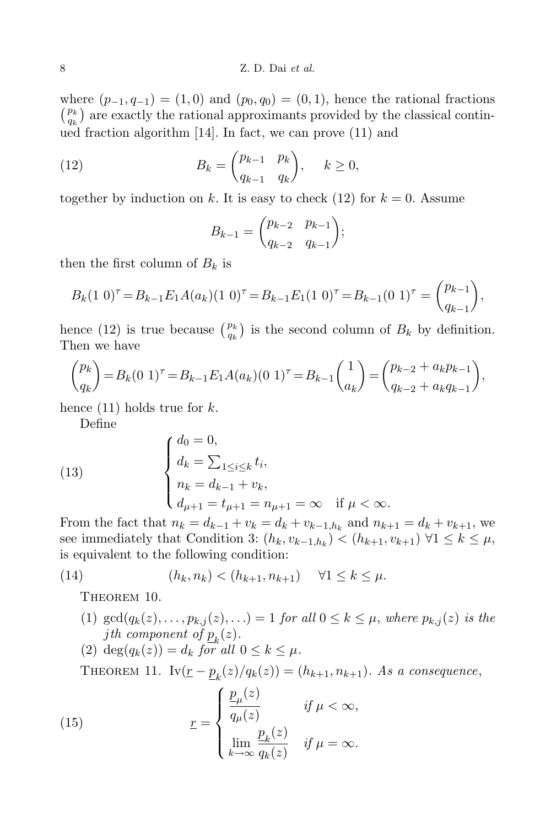where  $(p_{-1}, q_{-1}) = (1, 0)$  and  $(p_0, q_0) = (0, 1)$ , hence the rational fractions  $\binom{p_k}{a_k}$  $\binom{p_k}{q_k}$  are exactly the rational approximants provided by the classical continued fraction algorithm [14]. In fact, we can prove (11) and

(12) 
$$
B_k = \begin{pmatrix} p_{k-1} & p_k \\ q_{k-1} & q_k \end{pmatrix}, \quad k \ge 0,
$$

together by induction on k. It is easy to check (12) for  $k = 0$ . Assume

$$
B_{k-1} = \begin{pmatrix} p_{k-2} & p_{k-1} \\ q_{k-2} & q_{k-1} \end{pmatrix};
$$

then the first column of  $B_k$  is

$$
B_k(1\ 0)^{\tau} = B_{k-1}E_1A(a_k)(1\ 0)^{\tau} = B_{k-1}E_1(1\ 0)^{\tau} = B_{k-1}(0\ 1)^{\tau} = \binom{p_{k-1}}{q_{k-1}},
$$

hence (12) is true because  $\binom{p_k}{q_k}$  $\binom{p_k}{q_k}$  is the second column of  $B_k$  by definition. Then we have

$$
\binom{p_k}{q_k} = B_k (0 \ 1)^{\tau} = B_{k-1} E_1 A(a_k) (0 \ 1)^{\tau} = B_{k-1} \binom{1}{a_k} = \binom{p_{k-2} + a_k p_{k-1}}{q_{k-2} + a_k q_{k-1}},
$$

hence  $(11)$  holds true for k.

Define

(13) 
$$
\begin{cases} d_0 = 0, \\ d_k = \sum_{1 \le i \le k} t_i, \\ n_k = d_{k-1} + v_k, \\ d_{\mu+1} = t_{\mu+1} = n_{\mu+1} = \infty \quad \text{if } \mu < \infty. \end{cases}
$$

From the fact that  $n_k = d_{k-1} + v_k = d_k + v_{k-1,h_k}$  and  $n_{k+1} = d_k + v_{k+1}$ , we see immediately that Condition 3:  $(h_k, v_{k-1,h_k}) < (h_{k+1}, v_{k+1}) \ \forall 1 \leq k \leq \mu$ , is equivalent to the following condition:

(14) 
$$
(h_k, n_k) < (h_{k+1}, n_{k+1}) \quad \forall 1 \leq k \leq \mu.
$$

THEOREM 10.

- (1)  $\gcd(q_k(z), \ldots, p_{k,j}(z), \ldots) = 1$  for all  $0 \le k \le \mu$ , where  $p_{k,j}(z)$  is the jth component of  $p_k(z)$ .
- (2) deg(qk(z)) = d<sup>k</sup> for all 0 ≤ k ≤ µ.

THEOREM 11. Iv $(\underline{r} - \underline{p}_k(z)/q_k(z)) = (h_{k+1}, n_{k+1})$ . As a consequence,

(15) 
$$
\underline{r} = \begin{cases} \frac{\underline{p}_{\mu}(z)}{q_{\mu}(z)} & \text{if } \mu < \infty, \\ \lim_{k \to \infty} \frac{\underline{p}_{k}(z)}{q_{k}(z)} & \text{if } \mu = \infty. \end{cases}
$$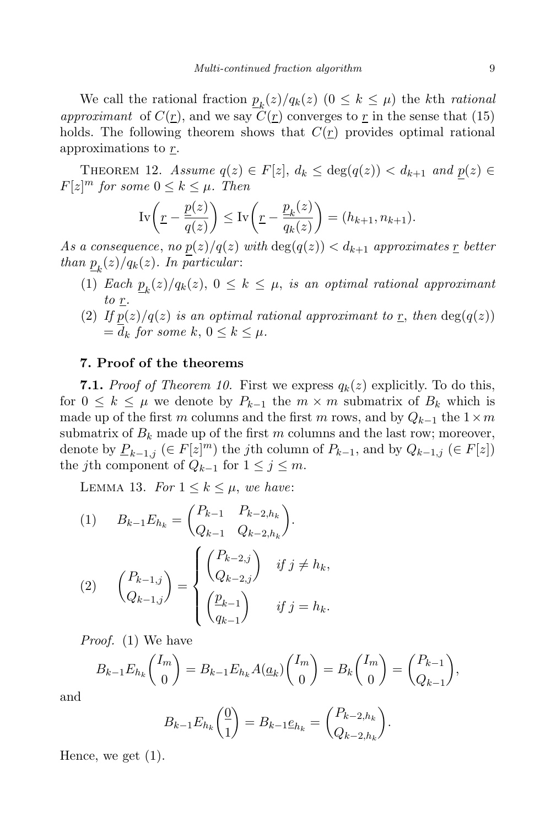We call the rational fraction  $\underline{p}_k(z)/q_k(z)$   $(0 \leq k \leq \mu)$  the kth rational approximant of  $C(r)$ , and we say  $\tilde{C}(r)$  converges to r in the sense that (15) holds. The following theorem shows that  $C(r)$  provides optimal rational approximations to r.

THEOREM 12. Assume  $q(z) \in F[z]$ ,  $d_k \leq \deg(q(z)) < d_{k+1}$  and  $p(z) \in F[z]$  $F[z]^m$  for some  $0 \leq k \leq \mu$ . Then

$$
\mathrm{Iv}\bigg(\underline{r} - \frac{\underline{p}(z)}{\overline{q}(z)}\bigg) \le \mathrm{Iv}\bigg(\underline{r} - \frac{\underline{p}_k(z)}{\overline{q}_k(z)}\bigg) = (h_{k+1}, n_{k+1}).
$$

As a consequence, no  $p(z)/q(z)$  with  $\deg(q(z)) < d_{k+1}$  approximates r better than  $p_k(z)/q_k(z)$ . In particular:

- (1) Each  $\underline{p}_k(z)/q_k(z)$ ,  $0 \leq k \leq \mu$ , is an optimal rational approximant to  $\underline{r}$ .
- (2) If  $p(z)/q(z)$  is an optimal rational approximant to r, then  $\deg(q(z))$  $= d_k$  for some k,  $0 \leq k \leq \mu$ .

### 7. Proof of the theorems

**7.1.** Proof of Theorem 10. First we express  $q_k(z)$  explicitly. To do this, for  $0 \leq k \leq \mu$  we denote by  $P_{k-1}$  the  $m \times m$  submatrix of  $B_k$  which is made up of the first m columns and the first m rows, and by  $Q_{k-1}$  the  $1 \times m$ submatrix of  $B_k$  made up of the first m columns and the last row; moreover, denote by  $\underline{P}_{k-1,j}$  (∈  $F[z]^m$ ) the *j*th column of  $P_{k-1}$ , and by  $Q_{k-1,j}$  (∈  $F[z]$ ) the *j*th component of  $Q_{k-1}$  for  $1 \leq j \leq m$ .

LEMMA 13. For  $1 \leq k \leq \mu$ , we have:

(1) 
$$
B_{k-1}E_{h_k} = \begin{pmatrix} P_{k-1} & P_{k-2,h_k} \\ Q_{k-1} & Q_{k-2,h_k} \end{pmatrix}.
$$
  
\n(2) 
$$
\begin{pmatrix} P_{k-1,j} \\ Q_{k-1,j} \end{pmatrix} = \begin{cases} \begin{pmatrix} P_{k-2,j} \\ Q_{k-2,j} \end{pmatrix} & \text{if } j \neq h_k, \\ \begin{pmatrix} \underline{p}_{k-1} \\ q_{k-1} \end{pmatrix} & \text{if } j = h_k. \end{cases}
$$

Proof. (1) We have

$$
B_{k-1}E_{h_k}\binom{I_m}{0} = B_{k-1}E_{h_k}A(\underline{a}_k)\binom{I_m}{0} = B_k\binom{I_m}{0} = \binom{P_{k-1}}{Q_{k-1}},
$$

and

$$
B_{k-1}E_{h_k}\left(\frac{0}{1}\right) = B_{k-1}\underline{e}_{h_k} = \begin{pmatrix} P_{k-2,h_k} \\ Q_{k-2,h_k} \end{pmatrix}.
$$

Hence, we get  $(1)$ .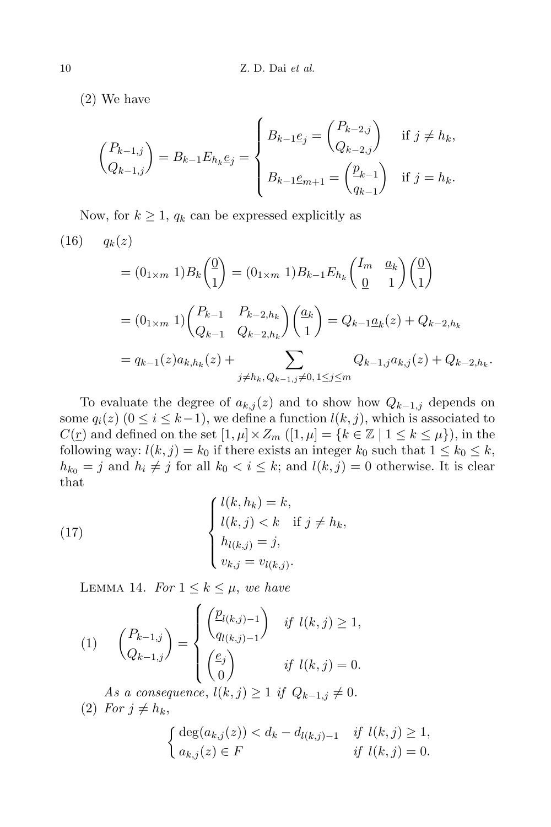(2) We have

$$
\begin{pmatrix} P_{k-1,j} \\ Q_{k-1,j} \end{pmatrix} = B_{k-1} E_{h_k} \underline{e}_j = \begin{cases} B_{k-1} \underline{e}_j = \begin{pmatrix} P_{k-2,j} \\ Q_{k-2,j} \end{pmatrix} & \text{if } j \neq h_k, \\ B_{k-1} \underline{e}_{m+1} = \begin{pmatrix} \underline{p}_{k-1} \\ q_{k-1} \end{pmatrix} & \text{if } j = h_k. \end{cases}
$$

Now, for  $k \geq 1$ ,  $q_k$  can be expressed explicitly as

(16) 
$$
q_k(z)
$$
  
\n
$$
= (0_{1 \times m} 1) B_k \binom{0}{1} = (0_{1 \times m} 1) B_{k-1} E_{h_k} \binom{I_m \ a_k}{0 \ 1} \binom{0}{1}
$$
\n
$$
= (0_{1 \times m} 1) \binom{P_{k-1} \ P_{k-2,h_k}}{Q_{k-1} \ Q_{k-2,h_k}} \binom{a_k}{1} = Q_{k-1} \underline{a}_k(z) + Q_{k-2,h_k}
$$
\n
$$
= q_{k-1}(z) a_{k,h_k}(z) + \sum_{j \neq h_k, Q_{k-1,j} \neq 0, 1 \le j \le m} Q_{k-1,j} a_{k,j}(z) + Q_{k-2,h_k}.
$$

To evaluate the degree of  $a_{k,j}(z)$  and to show how  $Q_{k-1,j}$  depends on some  $q_i(z)$  ( $0 \le i \le k-1$ ), we define a function  $l(k, j)$ , which is associated to  $C(\underline{r})$  and defined on the set  $[1, \mu] \times Z_m$   $([1, \mu] = \{k \in \mathbb{Z} \mid 1 \leq k \leq \mu\})$ , in the following way:  $l(k, j) = k_0$  if there exists an integer  $k_0$  such that  $1 \leq k_0 \leq k$ ,  $h_{k_0} = j$  and  $h_i \neq j$  for all  $k_0 < i \leq k$ ; and  $l(k, j) = 0$  otherwise. It is clear that

(17) 
$$
\begin{cases} l(k, h_k) = k, \\ l(k, j) < k \quad \text{if } j \neq h_k, \\ h_{l(k,j)} = j, \\ v_{k,j} = v_{l(k,j)}. \end{cases}
$$

LEMMA 14. For  $1 \leq k \leq \mu$ , we have

(1) 
$$
\binom{P_{k-1,j}}{Q_{k-1,j}} = \begin{cases} \left(\frac{p_{l(k,j)-1}}{q_{l(k,j)-1}}\right) & \text{if } l(k,j) \ge 1, \\ \left(\frac{e_j}{0}\right) & \text{if } l(k,j) = 0. \end{cases}
$$

As a consequence,  $l(k, j) \geq 1$  if  $Q_{k-1,j} \neq 0$ . (2) For  $j \neq h_k$ ,

$$
\begin{cases} \deg(a_{k,j}(z)) < d_k - d_{l(k,j)-1} & \text{if } l(k,j) \ge 1, \\ a_{k,j}(z) \in F & \text{if } l(k,j) = 0. \end{cases}
$$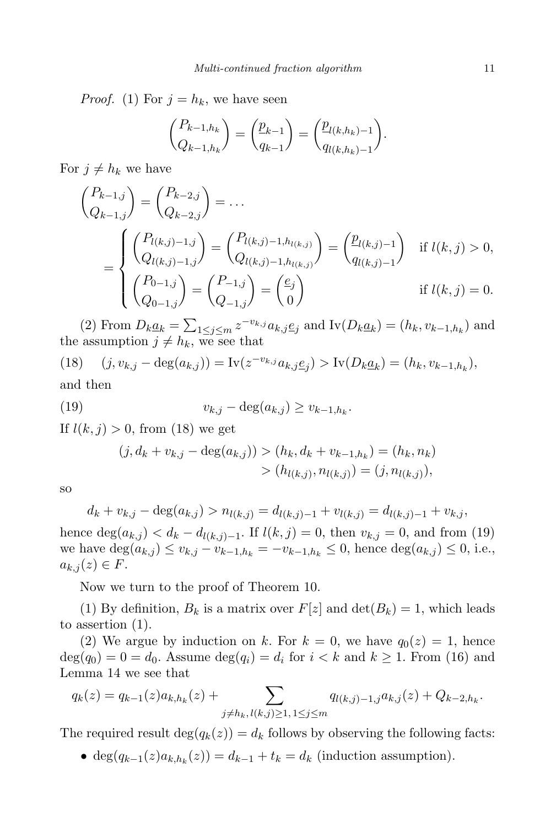*Proof.* (1) For  $j = h_k$ , we have seen

$$
\binom{P_{k-1,h_k}}{Q_{k-1,h_k}} = \binom{\underline{p}_{k-1}}{q_{k-1}} = \binom{\underline{p}_{l(k,h_k)-1}}{q_{l(k,h_k)-1}}.
$$

For  $j \neq h_k$  we have

$$
\begin{aligned}\n\binom{P_{k-1,j}}{Q_{k-1,j}} &= \binom{P_{k-2,j}}{Q_{k-2,j}} = \dots \\
&= \begin{cases}\n\binom{P_{l(k,j)-1,j}}{Q_{l(k,j)-1,h_{l(k,j)}}} = \binom{P_{l(k,j)-1,h_{l(k,j)}}}{Q_{l(k,j)-1,h_{l(k,j)}}}\n\end{cases} = \begin{pmatrix}\n\frac{p_{l(k,j)-1}}{q_{l(k,j)-1}}\n\end{pmatrix} \quad \text{if } l(k,j) > 0, \\
\binom{P_{0-1,j}}{Q_{0-1,j}} &= \binom{P_{-1,j}}{Q_{-1,j}} = \binom{e_j}{0}\n\end{cases} \quad \text{if } l(k,j) = 0.\n\end{aligned}
$$

(2) From  $D_k \underline{a}_k = \sum_{1 \leq j \leq m} z^{-v_{k,j}} a_{k,j} \underline{e}_j$  and  $\text{Iv}(D_k \underline{a}_k) = (h_k, v_{k-1,h_k})$  and the assumption  $j \neq h_k$ , we see that

(18)  $(j, v_{k,j} - \deg(a_{k,j})) = \text{Iv}(z^{-v_{k,j}}a_{k,j} \underline{e}_j) > \text{Iv}(D_k \underline{a}_k) = (h_k, v_{k-1,h_k}),$ and then

(19) 
$$
v_{k,j} - \deg(a_{k,j}) \ge v_{k-1,h_k}.
$$

If  $l(k, j) > 0$ , from (18) we get

$$
(j, d_k + v_{k,j} - \deg(a_{k,j})) > (h_k, d_k + v_{k-1,h_k}) = (h_k, n_k)
$$
  
> 
$$
(h_{l(k,j)}, n_{l(k,j)}) = (j, n_{l(k,j)}),
$$

so

$$
d_k + v_{k,j} - \deg(a_{k,j}) > n_{l(k,j)} = d_{l(k,j)-1} + v_{l(k,j)} = d_{l(k,j)-1} + v_{k,j},
$$

hence  $deg(a_{k,j}) < d_k - d_{l(k,j)-1}$ . If  $l(k,j) = 0$ , then  $v_{k,j} = 0$ , and from (19) we have  $\deg(a_{k,j}) \le v_{k,j} - v_{k-1,h_k} = -v_{k-1,h_k} \le 0$ , hence  $\deg(a_{k,j}) \le 0$ , i.e.,  $a_{k,j}(z) \in F$ .

Now we turn to the proof of Theorem 10.

(1) By definition,  $B_k$  is a matrix over  $F[z]$  and  $\det(B_k) = 1$ , which leads to assertion (1).

(2) We argue by induction on k. For  $k = 0$ , we have  $q_0(z) = 1$ , hence  $deg(q_0) = 0 = d_0$ . Assume  $deg(q_i) = d_i$  for  $i < k$  and  $k \ge 1$ . From (16) and Lemma 14 we see that

$$
q_k(z) = q_{k-1}(z)a_{k,h_k}(z) + \sum_{j \neq h_k, l(k,j) \ge 1, 1 \le j \le m} q_{l(k,j)-1,j}a_{k,j}(z) + Q_{k-2,h_k}.
$$

The required result  $\deg(q_k(z)) = d_k$  follows by observing the following facts:

• deg( $q_{k-1}(z)a_{k,h_k}(z)$ ) =  $d_{k-1} + t_k = d_k$  (induction assumption).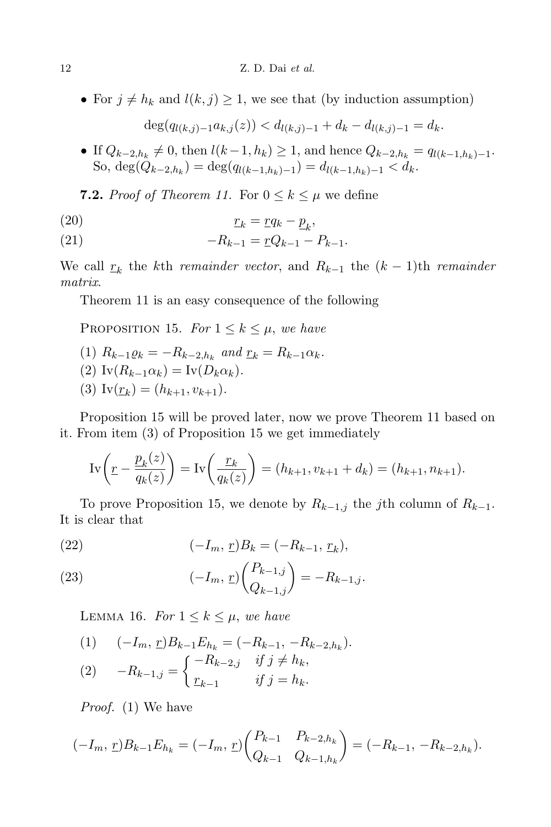• For  $j \neq h_k$  and  $l(k, j) \geq 1$ , we see that (by induction assumption)

$$
\deg(q_{l(k,j)-1}a_{k,j}(z)) < d_{l(k,j)-1} + d_k - d_{l(k,j)-1} = d_k.
$$

• If  $Q_{k-2,h_k} \neq 0$ , then  $l(k-1,h_k) \geq 1$ , and hence  $Q_{k-2,h_k} = q_{l(k-1,h_k)-1}$ . So,  $\deg(Q_{k-2,h_k}) = \deg(q_{l(k-1,h_k)-1}) = d_{l(k-1,h_k)-1} < d_k.$ 

**7.2.** Proof of Theorem 11. For  $0 \leq k \leq \mu$  we define

r<sup>k</sup> = rq<sup>k</sup> − p k (20) ,

(21) 
$$
-R_{k-1} = \underline{r}Q_{k-1} - P_{k-1}.
$$

We call  $r_k$  the kth *remainder vector*, and  $R_{k-1}$  the  $(k-1)$ th *remainder* matrix.

Theorem 11 is an easy consequence of the following

PROPOSITION 15. For  $1 \leq k \leq \mu$ , we have

- (1)  $R_{k-1} \varrho_k = -R_{k-2,h_k}$  and  $\underline{r}_k = R_{k-1} \alpha_k$ .
- (2)  $\text{Iv}(R_{k-1}\alpha_k) = \text{Iv}(D_k\alpha_k).$
- (3)  $\text{Iv}(\underline{r}_k) = (h_{k+1}, v_{k+1}).$

Proposition 15 will be proved later, now we prove Theorem 11 based on it. From item (3) of Proposition 15 we get immediately

$$
\text{Iv}\left(\underline{r} - \frac{\underline{p}_k(z)}{\overline{q}_k(z)}\right) = \text{Iv}\left(\frac{\underline{r}_k}{\overline{q}_k(z)}\right) = (h_{k+1}, v_{k+1} + d_k) = (h_{k+1}, n_{k+1}).
$$

To prove Proposition 15, we denote by  $R_{k-1,j}$  the j<sup>th</sup> column of  $R_{k-1}$ . It is clear that

(22) 
$$
(-I_m, \underline{r})B_k = (-R_{k-1}, \underline{r}_k),
$$

(23) 
$$
(-I_m, \underline{r}) \binom{P_{k-1,j}}{Q_{k-1,j}} = -R_{k-1,j}.
$$

LEMMA 16. For  $1 \leq k \leq \mu$ , we have

(1) 
$$
(-I_m, \underline{r})B_{k-1}E_{h_k} = (-R_{k-1}, -R_{k-2,h_k}).
$$
  
(2) 
$$
-R_{k-1,j} = \begin{cases} -R_{k-2,j} & \text{if } j \neq h_k, \\ \underline{r}_{k-1} & \text{if } j = h_k. \end{cases}
$$

Proof. (1) We have

$$
(-I_m, \underline{r})B_{k-1}E_{h_k} = (-I_m, \underline{r})\begin{pmatrix} P_{k-1} & P_{k-2,h_k} \ Q_{k-1} & Q_{k-1,h_k} \end{pmatrix} = (-R_{k-1}, -R_{k-2,h_k}).
$$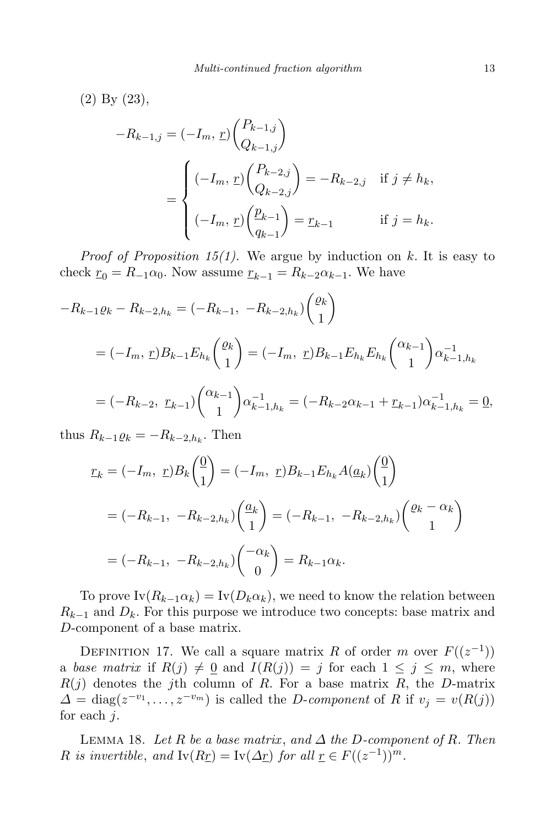(2) By (23),  
\n
$$
-R_{k-1,j} = (-I_m, \underline{r}) \begin{pmatrix} P_{k-1,j} \\ Q_{k-1,j} \end{pmatrix}
$$
\n
$$
= \begin{cases} (-I_m, \underline{r}) \begin{pmatrix} P_{k-2,j} \\ Q_{k-2,j} \end{pmatrix} = -R_{k-2,j} & \text{if } j \neq h_k, \\ (-I_m, \underline{r}) \begin{pmatrix} \underline{p}_{k-1} \\ q_{k-1} \end{pmatrix} = \underline{r}_{k-1} & \text{if } j = h_k. \end{cases}
$$

*Proof of Proposition 15(1)*. We argue by induction on  $k$ . It is easy to check  $r_0 = R_{-1} \alpha_0$ . Now assume  $r_{k-1} = R_{k-2} \alpha_{k-1}$ . We have

$$
-R_{k-1}\varrho_k - R_{k-2,h_k} = (-R_{k-1}, -R_{k-2,h_k})\binom{\varrho_k}{1}
$$
  

$$
= (-I_m, \underline{r})B_{k-1}E_{h_k}\binom{\varrho_k}{1} = (-I_m, \underline{r})B_{k-1}E_{h_k}E_{h_k}\binom{\alpha_{k-1}}{1}\alpha_{k-1,h_k}^{-1}
$$
  

$$
= (-R_{k-2}, \underline{r}_{k-1})\binom{\alpha_{k-1}}{1}\alpha_{k-1,h_k}^{-1} = (-R_{k-2}\alpha_{k-1} + \underline{r}_{k-1})\alpha_{k-1,h_k}^{-1} = \underline{0},
$$

thus  $R_{k-1}\varrho_k=-R_{k-2,h_k}$ . Then

$$
\underline{r}_k = (-I_m, \underline{r}) B_k \begin{pmatrix} \underline{0} \\ 1 \end{pmatrix} = (-I_m, \underline{r}) B_{k-1} E_{h_k} A(\underline{a}_k) \begin{pmatrix} \underline{0} \\ 1 \end{pmatrix}
$$

$$
= (-R_{k-1}, -R_{k-2,h_k}) \begin{pmatrix} \underline{a}_k \\ 1 \end{pmatrix} = (-R_{k-1}, -R_{k-2,h_k}) \begin{pmatrix} \underline{a}_k - \alpha_k \\ 1 \end{pmatrix}
$$

$$
= (-R_{k-1}, -R_{k-2,h_k}) \begin{pmatrix} -\alpha_k \\ 0 \end{pmatrix} = R_{k-1} \alpha_k.
$$

To prove  $\text{Iv}(R_{k-1}\alpha_k) = \text{Iv}(D_k\alpha_k)$ , we need to know the relation between  $R_{k-1}$  and  $D_k$ . For this purpose we introduce two concepts: base matrix and D-component of a base matrix.

DEFINITION 17. We call a square matrix R of order m over  $F((z^{-1}))$ a base matrix if  $R(j) \neq 0$  and  $I(R(j)) = j$  for each  $1 \leq j \leq m$ , where  $R(j)$  denotes the j<sup>th</sup> column of R. For a base matrix R, the D-matrix  $\Delta = \text{diag}(z^{-v_1}, \dots, z^{-v_m})$  is called the *D-component* of R if  $v_j = v(R(j))$ for each  $j$ .

LEMMA 18. Let R be a base matrix, and  $\Delta$  the D-component of R. Then R is invertible, and  $\text{Iv}(Rr) = \text{Iv}(\Delta r)$  for all  $r \in F((z^{-1}))^m$ .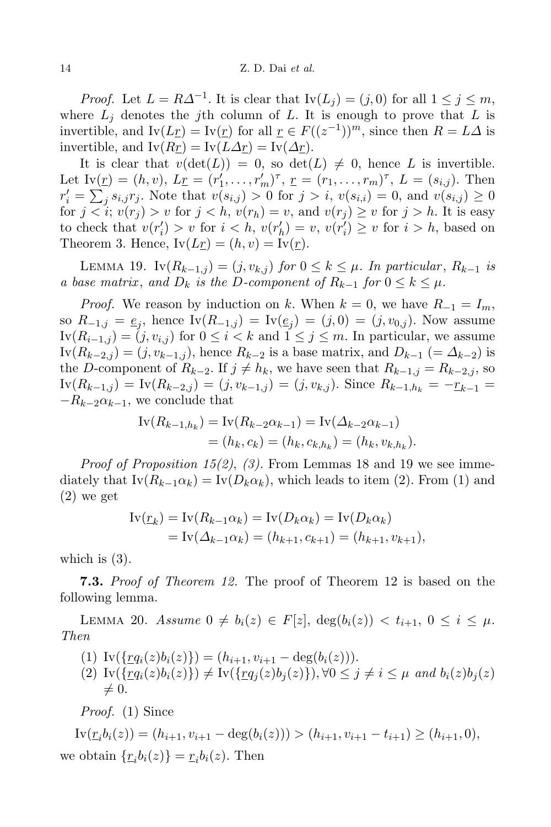*Proof.* Let  $L = R\Delta^{-1}$ . It is clear that  $\text{Iv}(L_j) = (j, 0)$  for all  $1 \le j \le m$ , where  $L_i$  denotes the j<sup>th</sup> column of L. It is enough to prove that L is invertible, and  $\text{Iv}(L_{\underline{r}}) = \text{Iv}(\underline{r})$  for all  $\underline{r} \in F((z^{-1}))^m$ , since then  $R = L\Delta$  is invertible, and  $I_v(Rr) = I_v(L\Delta r) = I_v(\Delta r)$ .

It is clear that  $v(\det(L)) = 0$ , so  $\det(L) \neq 0$ , hence L is invertible. Let  $Iv(\underline{r}) = (h, v), L\underline{r} = (r'_1, \ldots, r'_m)^{\tau}, \underline{r} = (r_1, \ldots, r_m)^{\tau}, L = (s_{i,j}).$  Then  $r'_{i} = \sum_{j} s_{i,j} r_{j}$ . Note that  $v(s_{i,j}) > 0$  for  $j > i$ ,  $v(s_{i,i}) = 0$ , and  $v(s_{i,j}) \ge 0$ for  $j < i$ ;  $v(r_j) > v$  for  $j < h$ ,  $v(r_h) = v$ , and  $v(r_j) \ge v$  for  $j > h$ . It is easy to check that  $v(r'_i) > v$  for  $i < h$ ,  $v(r'_h) = v$ ,  $v(r'_i) \ge v$  for  $i > h$ , based on Theorem 3. Hence,  $Iv(Lr) = (h, v) = Iv(r)$ .

LEMMA 19. Iv $(R_{k-1,j}) = (j, v_{k,j})$  for  $0 \le k \le \mu$ . In particular,  $R_{k-1}$  is a base matrix, and  $D_k$  is the D-component of  $R_{k-1}$  for  $0 \leq k \leq \mu$ .

*Proof.* We reason by induction on k. When  $k = 0$ , we have  $R_{-1} = I_m$ , so  $R_{-1,j} = \underline{e}_j$ , hence  $\text{Iv}(R_{-1,j}) = \text{Iv}(\underline{e}_j) = (j,0) = (j,v_{0,j})$ . Now assume  $\text{Iv}(R_{i-1,j}) = (j, v_{i,j})$  for  $0 \leq i < k$  and  $1 \leq j \leq m$ . In particular, we assume  $\text{Iv}(R_{k-2,j}) = (j, v_{k-1,j})$ , hence  $R_{k-2}$  is a base matrix, and  $D_{k-1}$  (=  $\Delta_{k-2}$ ) is the D-component of  $R_{k-2}$ . If  $j \neq h_k$ , we have seen that  $R_{k-1,j} = R_{k-2,j}$ , so  $\text{Iv}(R_{k-1,j}) = \text{Iv}(R_{k-2,j}) = (j, v_{k-1,j}) = (j, v_{k,j}).$  Since  $R_{k-1,h_k} = -r_{k-1}$  $-R_{k-2}\alpha_{k-1}$ , we conclude that

$$
\begin{aligned} \mathrm{Iv}(R_{k-1,h_k}) &= \mathrm{Iv}(R_{k-2}\alpha_{k-1}) = \mathrm{Iv}(\Delta_{k-2}\alpha_{k-1}) \\ &= (h_k, c_k) = (h_k, c_{k,h_k}) = (h_k, v_{k,h_k}). \end{aligned}
$$

*Proof of Proposition 15(2), (3)*. From Lemmas 18 and 19 we see immediately that  $\text{Iv}(R_{k-1}\alpha_k) = \text{Iv}(D_k\alpha_k)$ , which leads to item (2). From (1) and (2) we get

$$
\text{Iv}(\underline{r}_k) = \text{Iv}(R_{k-1}\alpha_k) = \text{Iv}(D_k\alpha_k) = \text{Iv}(D_k\alpha_k)
$$
  
= 
$$
\text{Iv}(\Delta_{k-1}\alpha_k) = (h_{k+1}, c_{k+1}) = (h_{k+1}, v_{k+1}),
$$

which is (3).

**7.3.** Proof of Theorem 12. The proof of Theorem 12 is based on the following lemma.

LEMMA 20. Assume  $0 \neq b_i(z) \in F[z]$ ,  $\deg(b_i(z)) < t_{i+1}$ ,  $0 \leq i \leq \mu$ . Then

(1)  $\text{Iv}(\{rq_i(z)b_i(z)\}) = (h_{i+1}, v_{i+1} - \deg(b_i(z))).$ (2)  $\text{Iv}(\{rq_i(z)b_i(z)\}) \neq \text{Iv}(\{rq_j(z)b_j(z)\}), \forall 0 \leq j \neq i \leq \mu \text{ and } b_i(z)b_i(z)$  $\neq 0.$ 

Proof. (1) Since

 $\text{IV}(r_i b_i(z)) = (h_{i+1}, v_{i+1} - \deg(b_i(z))) > (h_{i+1}, v_{i+1} - t_{i+1}) \ge (h_{i+1}, 0),$ we obtain  $\{r_i b_i(z)\} = r_i b_i(z)$ . Then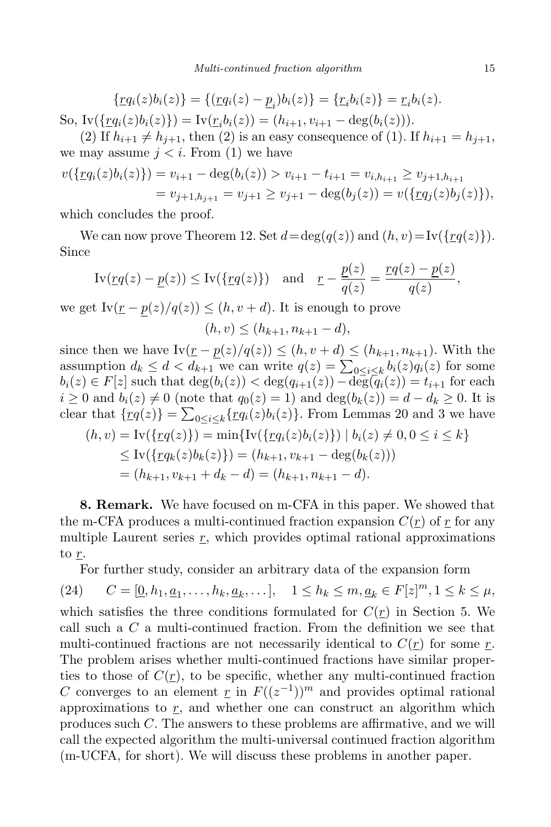$$
\{\underline{r}q_i(z)b_i(z)\} = \{(\underline{r}q_i(z) - \underline{p}_i)b_i(z)\} = \{\underline{r}_ib_i(z)\} = \underline{r}_ib_i(z).
$$

So, Iv({ $rq<sub>i</sub>(z)b<sub>i</sub>(z)$ }) = Iv( $r<sub>i</sub>b<sub>i</sub>(z)$ ) = ( $h<sub>i+1</sub>, v<sub>i+1</sub> - deg(b<sub>i</sub>(z))$ ).</u></u>

(2) If  $h_{i+1} \neq h_{i+1}$ , then (2) is an easy consequence of (1). If  $h_{i+1} = h_{i+1}$ , we may assume  $j < i$ . From (1) we have

$$
v(\{\underline{r}q_i(z)b_i(z)\}) = v_{i+1} - \deg(b_i(z)) > v_{i+1} - t_{i+1} = v_{i,h_{i+1}} \ge v_{j+1,h_{i+1}}
$$
  
=  $v_{j+1,h_{j+1}} = v_{j+1} \ge v_{j+1} - \deg(b_j(z)) = v(\{\underline{r}q_j(z)b_j(z)\}),$ 

which concludes the proof.

We can now prove Theorem 12. Set  $d = \deg(q(z))$  and  $(h, v) = \text{Iv}(\{rq(z)\})$ . Since

$$
\text{Iv}(\underline{r}q(z) - \underline{p}(z)) \le \text{Iv}(\{\underline{r}q(z)\}) \quad \text{and} \quad \underline{r} - \frac{\underline{p}(z)}{q(z)} = \frac{\underline{r}q(z) - \underline{p}(z)}{q(z)},
$$

we get  $Iv(\underline{r} - p(z)/q(z)) \leq (h, v + d)$ . It is enough to prove

$$
(h, v) \le (h_{k+1}, n_{k+1} - d),
$$

since then we have  $\text{Iv}(\underline{r}-\underline{p}(z)/q(z)) \leq (h, v+d) \leq (h_{k+1}, n_{k+1}).$  With the assumption  $d_k \leq d < d_{k+1}$  we can write  $q(z) = \sum_{0 \leq i \leq k} b_i(z) q_i(z)$  for some  $b_i(z) \in F[z]$  such that  $\deg(b_i(z)) < \deg(q_{i+1}(z)) - \deg(q_i(z)) = t_{i+1}$  for each  $i \geq 0$  and  $b_i(z) \neq 0$  (note that  $q_0(z) = 1$ ) and  $\deg(b_k(z)) = d - d_k \geq 0$ . It is clear that  $\{rq(z)\} = \sum_{0 \le i \le k} \{rq_i(z)b_i(z)\}.$  From Lemmas 20 and 3 we have

$$
(h, v) = \text{Iv}(\{rq(z)\}) = \min{\text{Iv}(\{rq_i(z)b_i(z)\}) \mid b_i(z) \neq 0, 0 \leq i \leq k}
$$
  
 
$$
\leq \text{Iv}(\{rq_k(z)b_k(z)\}) = (h_{k+1}, v_{k+1} - \text{deg}(b_k(z)))
$$
  
 
$$
= (h_{k+1}, v_{k+1} + d_k - d) = (h_{k+1}, n_{k+1} - d).
$$

8. Remark. We have focused on m-CFA in this paper. We showed that the m-CFA produces a multi-continued fraction expansion  $C(r)$  of r for any multiple Laurent series  $r$ , which provides optimal rational approximations to  $\underline{r}$ .

For further study, consider an arbitrary data of the expansion form

(24)  $C = [\underline{0}, h_1, \underline{a}_1, \dots, h_k, \underline{a}_k, \dots], \quad 1 \leq h_k \leq m, \underline{a}_k \in F[z]^m, 1 \leq k \leq \mu,$ which satisfies the three conditions formulated for  $C(r)$  in Section 5. We call such a C a multi-continued fraction. From the definition we see that multi-continued fractions are not necessarily identical to  $C(r)$  for some r. The problem arises whether multi-continued fractions have similar properties to those of  $C(\underline{r})$ , to be specific, whether any multi-continued fraction C converges to an element  $\underline{r}$  in  $F((z^{-1}))^m$  and provides optimal rational approximations to  $r$ , and whether one can construct an algorithm which produces such C. The answers to these problems are affirmative, and we will call the expected algorithm the multi-universal continued fraction algorithm (m-UCFA, for short). We will discuss these problems in another paper.